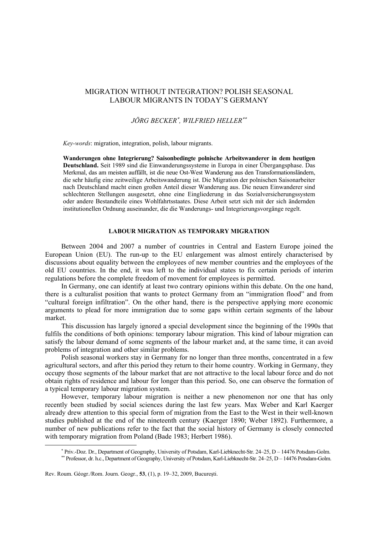# MIGRATION WITHOUT INTEGRATION? POLISH SEASONAL LABOUR MIGRANTS IN TODAY'S GERMANY

## *JÖRG BECKER*<sup>∗</sup> *, WILFRIED HELLER*∗∗

*Key-words*: migration, integration, polish, labour migrants.

**Wanderungen ohne Integrierung? Saisonbedingte polnische Arbeitswanderer in dem heutigen Deutschland.** Seit 1989 sind die Einwanderungssysteme in Europa in einer Übergangsphase. Das Merkmal, das am meisten auffällt, ist die neue Ost-West Wanderung aus den Transformationsländern, die sehr häufig eine zeitweilige Arbeitswanderung ist. Die Migration der polnischen Saisonarbeiter nach Deutschland macht einen großen Anteil dieser Wanderung aus. Die neuen Einwanderer sind schlechteren Stellungen ausgesetzt, ohne eine Eingliederung in das Sozialversicherungssystem oder andere Bestandteile eines Wohlfahrtsstaates. Diese Arbeit setzt sich mit der sich ändernden institutionellen Ordnung auseinander, die die Wanderungs- und Integrierungsvorgänge regelt.

## **LABOUR MIGRATION AS TEMPORARY MIGRATION**

Between 2004 and 2007 a number of countries in Central and Eastern Europe joined the European Union (EU). The run-up to the EU enlargement was almost entirely characterised by discussions about equality between the employees of new member countries and the employees of the old EU countries. In the end, it was left to the individual states to fix certain periods of interim regulations before the complete freedom of movement for employees is permitted.

In Germany, one can identify at least two contrary opinions within this debate. On the one hand, there is a culturalist position that wants to protect Germany from an "immigration flood" and from "cultural foreign infiltration". On the other hand, there is the perspective applying more economic arguments to plead for more immigration due to some gaps within certain segments of the labour market.

This discussion has largely ignored a special development since the beginning of the 1990s that fulfils the conditions of both opinions: temporary labour migration. This kind of labour migration can satisfy the labour demand of some segments of the labour market and, at the same time, it can avoid problems of integration and other similar problems.

Polish seasonal workers stay in Germany for no longer than three months, concentrated in a few agricultural sectors, and after this period they return to their home country. Working in Germany, they occupy those segments of the labour market that are not attractive to the local labour force and do not obtain rights of residence and labour for longer than this period. So, one can observe the formation of a typical temporary labour migration system.

However, temporary labour migration is neither a new phenomenon nor one that has only recently been studied by social sciences during the last few years. Max Weber and Karl Kaerger already drew attention to this special form of migration from the East to the West in their well-known studies published at the end of the nineteenth century (Kaerger 1890; Weber 1892). Furthermore, a number of new publications refer to the fact that the social history of Germany is closely connected with temporary migration from Poland (Bade 1983; Herbert 1986).

 $\overline{\phantom{a}}$ 

<sup>∗</sup> Priv.-Doz. Dr., Department of Geography, University of Potsdam, Karl-Liebknecht-Str. 24–25, D – 14476 Potsdam-Golm.

<sup>∗∗</sup> Professor, dr. h.c., Department of Geography, University of Potsdam, Karl-Liebknecht-Str. 24–25, D – 14476 Potsdam-Golm.

Rev. Roum. Géogr./Rom. Journ. Geogr., **53**, (1), p. 19–32, 2009, Bucureşti.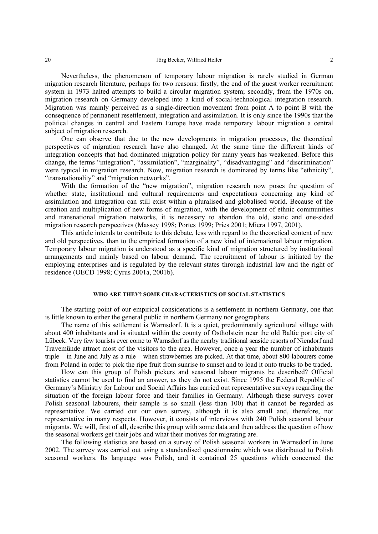Nevertheless, the phenomenon of temporary labour migration is rarely studied in German migration research literature, perhaps for two reasons: firstly, the end of the guest worker recruitment system in 1973 halted attempts to build a circular migration system; secondly, from the 1970s on, migration research on Germany developed into a kind of social-technological integration research. Migration was mainly perceived as a single-direction movement from point A to point B with the consequence of permanent resettlement, integration and assimilation. It is only since the 1990s that the political changes in central and Eastern Europe have made temporary labour migration a central subject of migration research.

One can observe that due to the new developments in migration processes, the theoretical perspectives of migration research have also changed. At the same time the different kinds of integration concepts that had dominated migration policy for many years has weakened. Before this change, the terms "integration", "assimilation", "marginality", "disadvantaging" and "discrimination" were typical in migration research. Now, migration research is dominated by terms like "ethnicity", "transnationality" and "migration networks".

With the formation of the "new migration", migration research now poses the question of whether state, institutional and cultural requirements and expectations concerning any kind of assimilation and integration can still exist within a pluralised and globalised world. Because of the creation and multiplication of new forms of migration, with the development of ethnic communities and transnational migration networks, it is necessary to abandon the old, static and one-sided migration research perspectives (Massey 1998; Portes 1999; Pries 2001; Miera 1997, 2001).

This article intends to contribute to this debate, less with regard to the theoretical content of new and old perspectives, than to the empirical formation of a new kind of international labour migration. Temporary labour migration is understood as a specific kind of migration structured by institutional arrangements and mainly based on labour demand. The recruitment of labour is initiated by the employing enterprises and is regulated by the relevant states through industrial law and the right of residence (OECD 1998; Cyrus 2001a, 2001b).

## **WHO ARE THEY? SOME CHARACTERISTICS OF SOCIAL STATISTICS**

The starting point of our empirical considerations is a settlement in northern Germany, one that is little known to either the general public in northern Germany nor geographers.

The name of this settlement is Warnsdorf. It is a quiet, predominantly agricultural village with about 400 inhabitants and is situated within the county of Ostholstein near the old Baltic port city of Lübeck. Very few tourists ever come to Warnsdorf as the nearby traditional seaside resorts of Niendorf and Travemünde attract most of the visitors to the area. However, once a year the number of inhabitants triple – in June and July as a rule – when strawberries are picked. At that time, about 800 labourers come from Poland in order to pick the ripe fruit from sunrise to sunset and to load it onto trucks to be traded.

How can this group of Polish pickers and seasonal labour migrants be described? Official statistics cannot be used to find an answer, as they do not exist. Since 1995 the Federal Republic of Germany's Ministry for Labour and Social Affairs has carried out representative surveys regarding the situation of the foreign labour force and their families in Germany. Although these surveys cover Polish seasonal labourers, their sample is so small (less than 100) that it cannot be regarded as representative. We carried out our own survey, although it is also small and, therefore, not representative in many respects. However, it consists of interviews with 240 Polish seasonal labour migrants. We will, first of all, describe this group with some data and then address the question of how the seasonal workers get their jobs and what their motives for migrating are.

The following statistics are based on a survey of Polish seasonal workers in Warnsdorf in June 2002. The survey was carried out using a standardised questionnaire which was distributed to Polish seasonal workers. Its language was Polish, and it contained 25 questions which concerned the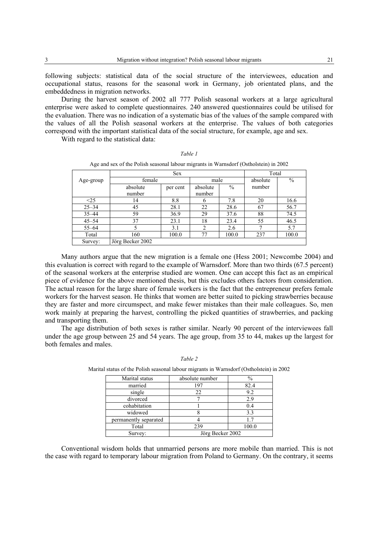following subjects: statistical data of the social structure of the interviewees, education and occupational status, reasons for the seasonal work in Germany, job orientated plans, and the embeddedness in migration networks.

During the harvest season of 2002 all 777 Polish seasonal workers at a large agricultural enterprise were asked to complete questionnaires. 240 answered questionnaires could be utilised for the evaluation. There was no indication of a systematic bias of the values of the sample compared with the values of all the Polish seasonal workers at the enterprise. The values of both categories correspond with the important statistical data of the social structure, for example, age and sex.

With regard to the statistical data:

|           |                  | <b>Sex</b> |                |       | Total    |               |
|-----------|------------------|------------|----------------|-------|----------|---------------|
| Age-group | female           |            | male           |       | absolute | $\frac{0}{0}$ |
|           | absolute         | per cent   | absolute       | $\%$  | number   |               |
|           | number           |            | number         |       |          |               |
| <25       | 14               | 8.8        | 6              | 7.8   | 20       | 16.6          |
| $25 - 34$ | 45               | 28.1       | 22             | 28.6  | 67       | 56.7          |
| $35 - 44$ | 59               | 36.9       | 29             | 37.6  | 88       | 74.5          |
| $45 - 54$ | 37               | 23.1       | 18             | 23.4  | 55       | 46.5          |
| $55 - 64$ | 5                | 3.1        | $\overline{c}$ | 2.6   | 7        | 5.7           |
| Total     | 160              | 100.0      | 77             | 100.0 | 237      | 100.0         |
| Survey:   | Jörg Becker 2002 |            |                |       |          |               |

*Table 1*  Age and sex of the Polish seasonal labour migrants in Warnsdorf (Ostholstein) in 2002

Many authors argue that the new migration is a female one (Hess 2001; Newcombe 2004) and this evaluation is correct with regard to the example of Warnsdorf. More than two thirds (67.5 percent) of the seasonal workers at the enterprise studied are women. One can accept this fact as an empirical piece of evidence for the above mentioned thesis, but this excludes others factors from consideration. The actual reason for the large share of female workers is the fact that the entrepreneur prefers female workers for the harvest season. He thinks that women are better suited to picking strawberries because they are faster and more circumspect, and make fewer mistakes than their male colleagues. So, men work mainly at preparing the harvest, controlling the picked quantities of strawberries, and packing and transporting them.

The age distribution of both sexes is rather similar. Nearly 90 percent of the interviewees fall under the age group between 25 and 54 years. The age group, from 35 to 44, makes up the largest for both females and males.

| Marital status        | absolute number  | $\frac{0}{0}$ |
|-----------------------|------------------|---------------|
| married               | 197              | 82.4          |
| single                | 22               | 9.2           |
| divorced              |                  | 2.9           |
| cohabitation          |                  | 0.4           |
| widowed               |                  | 3.3           |
| permanently separated |                  | 17            |
| Total                 | 239              | 100.0         |
| Survey:               | Jörg Becker 2002 |               |

*Table 2*  Marital status of the Polish seasonal labour migrants in Warnsdorf (Ostholstein) in 2002

Conventional wisdom holds that unmarried persons are more mobile than married. This is not the case with regard to temporary labour migration from Poland to Germany. On the contrary, it seems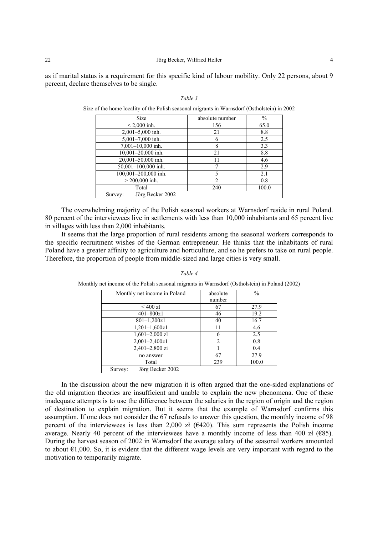22 Jörg Becker, Wilfried Heller 4 4

as if marital status is a requirement for this specific kind of labour mobility. Only 22 persons, about 9 percent, declare themselves to be single.

| <b>Size</b>                 | absolute number | $\%$  |
|-----------------------------|-----------------|-------|
| $< 2,000$ inh.              | 156             | 65.0  |
| 2,001-5,000 inh.            | 21              | 8.8   |
| 5,001-7,000 inh.            | 6               | 2.5   |
| $7,001-10,000$ inh.         | 8               | 3.3   |
| 10,001-20,000 inh.          | 21              | 8.8   |
| 20,001-50,000 inh.          | 11              | 4.6   |
| 50,001-100,000 inh.         |                 | 2.9   |
| 100,001-200,000 inh.        | 5               | 2.1   |
| $>$ 200,000 inh.            | 2               | 0.8   |
| Total                       | 240             | 100.0 |
| Jörg Becker 2002<br>Survey: |                 |       |

*Table 3*  Size of the home locality of the Polish seasonal migrants in Warnsdorf (Ostholstein) in 2002

The overwhelming majority of the Polish seasonal workers at Warnsdorf reside in rural Poland. 80 percent of the interviewees live in settlements with less than 10,000 inhabitants and 65 percent live in villages with less than 2,000 inhabitants.

It seems that the large proportion of rural residents among the seasonal workers corresponds to the specific recruitment wishes of the German entrepreneur. He thinks that the inhabitants of rural Poland have a greater affinity to agriculture and horticulture, and so he prefers to take on rural people. Therefore, the proportion of people from middle-sized and large cities is very small.

| Monthly net income in Poland | absolute | $\frac{0}{0}$ |
|------------------------------|----------|---------------|
|                              | number   |               |
| $<$ 400 zl                   | 67       | 27.9          |
| $401 - 800z1$                | 46       | 19.2          |
| $801 - 1,200z1$              | 40       | 16.7          |
| $1,201-1,600z1$              | 11       | 4.6           |
| $1,601-2,000$ zl             | 6        | 2.5           |
| 2,001-2,400z1                | 2        | 0.8           |
| 2,401-2,800 zi               |          | 0.4           |
| no answer                    | 67       | 27.9          |
| Total                        | 239      | 100.0         |
| Jörg Becker 2002<br>Survey:  |          |               |

*Table 4* 

Monthly net income of the Polish seasonal migrants in Warnsdorf (Ostholstein) in Poland (2002)

In the discussion about the new migration it is often argued that the one-sided explanations of the old migration theories are insufficient and unable to explain the new phenomena. One of these inadequate attempts is to use the difference between the salaries in the region of origin and the region of destination to explain migration. But it seems that the example of Warnsdorf confirms this assumption. If one does not consider the 67 refusals to answer this question, the monthly income of 98 percent of the interviewees is less than 2,000 zł ( $\epsilon$ 420). This sum represents the Polish income average. Nearly 40 percent of the interviewees have a monthly income of less than 400 zł ( $\epsilon$ 85). During the harvest season of 2002 in Warnsdorf the average salary of the seasonal workers amounted to about  $\epsilon$ 1,000. So, it is evident that the different wage levels are very important with regard to the motivation to temporarily migrate.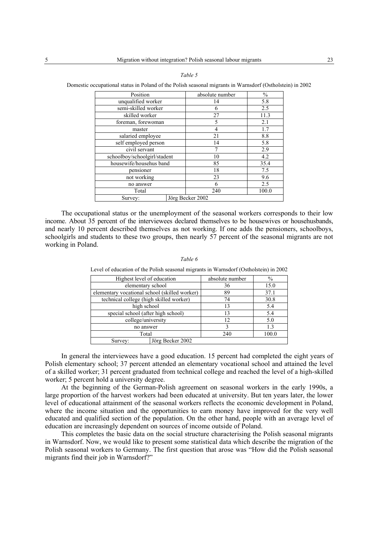| Position                     | absolute number  | $\frac{0}{0}$ |
|------------------------------|------------------|---------------|
| unqualified worker           | 14               | 5.8           |
| semi-skilled worker          | 6                | 2.5           |
| skilled worker               | 27               | 11.3          |
| foreman, forewoman           | 5                | 2.1           |
| master                       | 4                | 1.7           |
| salaried employee            | 21               | 8.8           |
| self employed person         | 14               | 5.8           |
| civil servant                |                  | 2.9           |
| schoolboy/schoolgirl/stadent | 10               | 4.2           |
| housewife/househus band      | 85               | 35.4          |
| pensioner                    | 18               | 7.5           |
| not working                  | 23               | 9.6           |
| no answer                    | 6                | 2.5           |
| Total                        | 240              | 100.0         |
| Survey:                      | Jörg Becker 2002 |               |

*Table 5*  Domestic occupational status in Poland of the Polish seasonal migrants in Warnsdorf (Ostholstein) in 2002

The occupational status or the unemployment of the seasonal workers corresponds to their low income. About 35 percent of the interviewees declared themselves to be housewives or househusbands, and nearly 10 percent described themselves as not working. If one adds the pensioners, schoolboys, schoolgirls and students to these two groups, then nearly 57 percent of the seasonal migrants are not working in Poland.

### *Table 6*

| Highest level of education                    |                  | absolute number | $\%$  |
|-----------------------------------------------|------------------|-----------------|-------|
| elementary school                             |                  | 36              | 15.0  |
| elementary vocational school (skilled worker) |                  | 89              | 37.1  |
| technical college (high skilled worker)       |                  | 74              | 30.8  |
| high school                                   |                  | 13              | 5.4   |
| special school (after high school)            |                  | 13              | 5.4   |
| college/university                            |                  | 12              | 5.0   |
| no answer                                     |                  |                 | 1.3   |
| Total                                         |                  | 240             | 100.0 |
| Survey:                                       | Jörg Becker 2002 |                 |       |

Level of education of the Polish seasonal migrants in Warnsdorf (Ostholstein) in 2002

In general the interviewees have a good education. 15 percent had completed the eight years of Polish elementary school; 37 percent attended an elementary vocational school and attained the level of a skilled worker; 31 percent graduated from technical college and reached the level of a high-skilled worker; 5 percent hold a university degree.

At the beginning of the German-Polish agreement on seasonal workers in the early 1990s, a large proportion of the harvest workers had been educated at university. But ten years later, the lower level of educational attainment of the seasonal workers reflects the economic development in Poland, where the income situation and the opportunities to earn money have improved for the very well educated and qualified section of the population. On the other hand, people with an average level of education are increasingly dependent on sources of income outside of Poland.

This completes the basic data on the social structure characterising the Polish seasonal migrants in Warnsdorf. Now, we would like to present some statistical data which describe the migration of the Polish seasonal workers to Germany. The first question that arose was "How did the Polish seasonal migrants find their job in Warnsdorf?"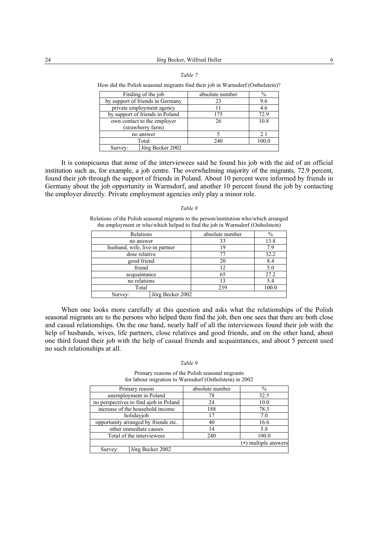|  | $\sum_{i=1}^{n}$ because, while $\sum_{i=1}^{n}$ |  |
|--|--------------------------------------------------|--|
|  |                                                  |  |
|  |                                                  |  |
|  | Table 7                                          |  |

| TOW the H Onsh Seasonal migrants find their job in Warnstorn (Ostholstein): |                 |       |  |
|-----------------------------------------------------------------------------|-----------------|-------|--|
| Finding of the job                                                          | absolute number | $\%$  |  |
| by support of friends in Germany                                            | 23              | 9.6   |  |
| private employment agency                                                   |                 | 4.6   |  |
| by support of friends in Poland                                             | 175             | 72.9  |  |
| own contact to the employer<br>(strawberry farm)                            | 26              | 10.8  |  |
| no answer                                                                   |                 | 2.1   |  |
| Total                                                                       | 240             | 100.0 |  |
| Jörg Becker 2002<br>Survey:                                                 |                 |       |  |

How did the Polish seasonal migrants find their job in Warnsdorf (Ostholstein)?

It is conspicuous that none of the interviewees said he found his job with the aid of an official institution such as, for example, a job centre. The overwhelming majority of the migrants, 72.9 percent, found their job through the support of friends in Poland. About 10 percent were informed by friends in Germany about the job opportunity in Warnsdorf, and another 10 percent found the job by contacting the employer directly. Private employment agencies only play a minor role.

#### *Table 8*

Relations of the Polish seasonal migrants to the person/institution who/which arranged the employment or who/which helped to find the job in Warnsdorf (Ostholstein)

| Relations                      |                  | absolute number | $\frac{0}{0}$ |
|--------------------------------|------------------|-----------------|---------------|
| no answer                      |                  | 33              | 13.8          |
| husband, wife, live-in partner |                  | 19              | 7.9           |
| dose relative                  |                  | 77              | 32.2          |
| good friend                    |                  | 20              | 8.4           |
| friend                         |                  | 12              | 5.0           |
| acquaintance                   |                  | 65              | 27.2          |
| no relations                   |                  | 13              | 5.4           |
| Total                          |                  | 239             | 100.0         |
| Survey:                        | Jörg Becker 2002 |                 |               |

When one looks more carefully at this question and asks what the relationships of the Polish seasonal migrants are to the persons who helped them find the job, then one sees that there are both close and casual relationships. On the one hand, nearly half of all the interviewees found their job with the help of husbands, wives, life partners, close relatives and good friends, and on the other hand, about one third found their job with the help of casual friends and acquaintances, and about 5 percent used no such relationships at all.

#### *Table 9*

Primary reasons of the Polish seasonal migrants for labour migration to Warnsdorf (Ostholstein) in 2002

| Primary reason                         | absolute number | $\%$                 |
|----------------------------------------|-----------------|----------------------|
| unemployment in Poland                 | 78              | 32.5                 |
| no perspectives to find ajob in Poland | 24              | 10.0                 |
| increase of the household income       | 188             | 78.3                 |
| holidayjob                             | 17              | 7.0                  |
| opportunity arranged by friends etc.   | 40              | 16.6                 |
| other immediate causes                 | 14              | 5.8                  |
| Total of the interviewees              | 240             | 100.0                |
|                                        |                 | (*) multiple answers |
| Jörg Becker 2002<br>Survey:            |                 |                      |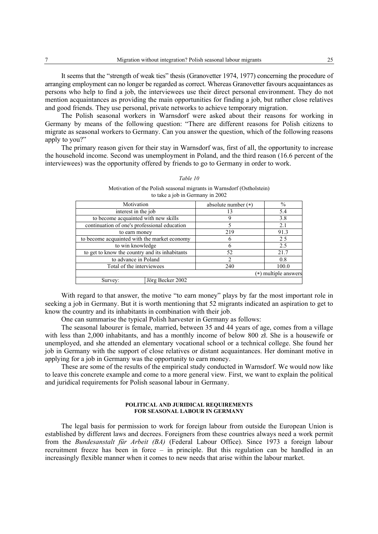It seems that the "strength of weak ties" thesis (Granovetter 1974, 1977) concerning the procedure of arranging employment can no longer be regarded as correct. Whereas Granovetter favours acquaintances as persons who help to find a job, the interviewees use their direct personal environment. They do not mention acquaintances as providing the main opportunities for finding a job, but rather close relatives and good friends. They use personal, private networks to achieve temporary migration.

The Polish seasonal workers in Warnsdorf were asked about their reasons for working in Germany by means of the following question: "There are different reasons for Polish citizens to migrate as seasonal workers to Germany. Can you answer the question, which of the following reasons apply to you?"

The primary reason given for their stay in Warnsdorf was, first of all, the opportunity to increase the household income. Second was unemployment in Poland, and the third reason (16.6 percent of the interviewees) was the opportunity offered by friends to go to Germany in order to work.

### *Table 10*

Motivation of the Polish seasonal migrants in Warnsdorf (Ostholstein) to take a job in Germany in 2002

| Motivation                                     |                  | absolute number (*) | $\frac{0}{0}$        |
|------------------------------------------------|------------------|---------------------|----------------------|
| interest in the job                            |                  |                     | 5.4                  |
| to become acquainted with new skills           |                  |                     | 3.8                  |
| continuation of one's professional education   |                  |                     | 2.1                  |
| to earn money                                  |                  | 219                 | 91.3                 |
| to become acquainted with the market economy   |                  | h                   | 25                   |
| to win knowledge                               |                  |                     | 2.5                  |
| to get to know the country and its inhabitants |                  | 52                  | 21.7                 |
| to advance in Poland                           |                  | 2                   | 0.8                  |
| Total of the interviewees                      |                  | 240                 | 100.0                |
|                                                |                  |                     | (*) multiple answers |
| Survey:                                        | Jörg Becker 2002 |                     |                      |

With regard to that answer, the motive "to earn money" plays by far the most important role in seeking a job in Germany. But it is worth mentioning that 52 migrants indicated an aspiration to get to know the country and its inhabitants in combination with their job.

One can summarise the typical Polish harvester in Germany as follows:

The seasonal labourer is female, married, between 35 and 44 years of age, comes from a village with less than 2,000 inhabitants, and has a monthly income of below 800 zł. She is a housewife or unemployed, and she attended an elementary vocational school or a technical college. She found her job in Germany with the support of close relatives or distant acquaintances. Her dominant motive in applying for a job in Germany was the opportunity to earn money.

These are some of the results of the empirical study conducted in Warnsdorf. We would now like to leave this concrete example and come to a more general view. First, we want to explain the political and juridical requirements for Polish seasonal labour in Germany.

### **POLITICAL AND JURIDICAL REQUIREMENTS FOR SEASONAL LABOUR IN GERMANY**

The legal basis for permission to work for foreign labour from outside the European Union is established by different laws and decrees. Foreigners from these countries always need a work permit from the *Bundesanstalt für Arbeit (BA)* (Federal Labour Office). Since 1973 a foreign labour recruitment freeze has been in force – in principle. But this regulation can be handled in an increasingly flexible manner when it comes to new needs that arise within the labour market.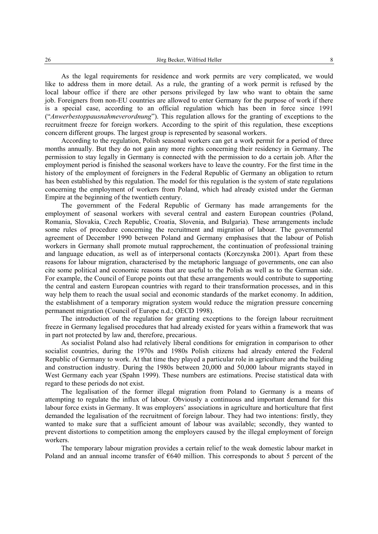As the legal requirements for residence and work permits are very complicated, we would like to address them in more detail. As a rule, the granting of a work permit is refused by the local labour office if there are other persons privileged by law who want to obtain the same job. Foreigners from non-EU countries are allowed to enter Germany for the purpose of work if there is a special case, according to an official regulation which has been in force since 1991 ("*Anwerbestoppausnahmeverordnung*"). This regulation allows for the granting of exceptions to the recruitment freeze for foreign workers. According to the spirit of this regulation, these exceptions concern different groups. The largest group is represented by seasonal workers.

According to the regulation, Polish seasonal workers can get a work permit for a period of three months annually. But they do not gain any more rights concerning their residency in Germany. The permission to stay legally in Germany is connected with the permission to do a certain job. After the employment period is finished the seasonal workers have to leave the country. For the first time in the history of the employment of foreigners in the Federal Republic of Germany an obligation to return has been established by this regulation. The model for this regulation is the system of state regulations concerning the employment of workers from Poland, which had already existed under the German Empire at the beginning of the twentieth century.

The government of the Federal Republic of Germany has made arrangements for the employment of seasonal workers with several central and eastern European countries (Poland, Romania, Slovakia, Czech Republic, Croatia, Slovenia, and Bulgaria). These arrangements include some rules of procedure concerning the recruitment and migration of labour. The governmental agreement of December 1990 between Poland and Germany emphasises that the labour of Polish workers in Germany shall promote mutual rapprochement, the continuation of professional training and language education, as well as of interpersonal contacts (Korczynska 2001). Apart from these reasons for labour migration, characterised by the metaphoric language of governments, one can also cite some political and economic reasons that are useful to the Polish as well as to the German side. For example, the Council of Europe points out that these arrangements would contribute to supporting the central and eastern European countries with regard to their transformation processes, and in this way help them to reach the usual social and economic standards of the market economy. In addition, the establishment of a temporary migration system would reduce the migration pressure concerning permanent migration (Council of Europe n.d.; OECD 1998).

The introduction of the regulation for granting exceptions to the foreign labour recruitment freeze in Germany legalised procedures that had already existed for years within a framework that was in part not protected by law and, therefore, precarious.

As socialist Poland also had relatively liberal conditions for emigration in comparison to other socialist countries, during the 1970s and 1980s Polish citizens had already entered the Federal Republic of Germany to work. At that time they played a particular role in agriculture and the building and construction industry. During the 1980s between 20,000 and 50,000 labour migrants stayed in West Germany each year (Spahn 1999). These numbers are estimations. Precise statistical data with regard to these periods do not exist.

The legalisation of the former illegal migration from Poland to Germany is a means of attempting to regulate the influx of labour. Obviously a continuous and important demand for this labour force exists in Germany. It was employers' associations in agriculture and horticulture that first demanded the legalisation of the recruitment of foreign labour. They had two intentions: firstly, they wanted to make sure that a sufficient amount of labour was available; secondly, they wanted to prevent distortions to competition among the employers caused by the illegal employment of foreign workers.

The temporary labour migration provides a certain relief to the weak domestic labour market in Poland and an annual income transfer of  $6640$  million. This corresponds to about 5 percent of the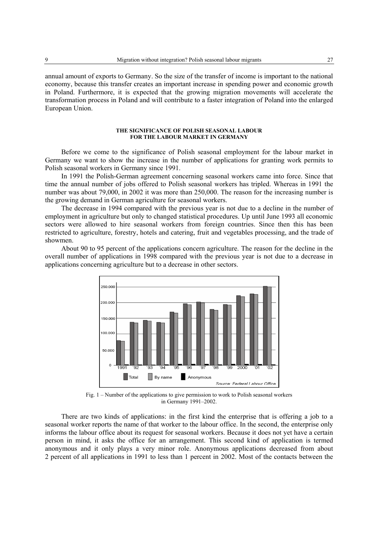annual amount of exports to Germany. So the size of the transfer of income is important to the national economy, because this transfer creates an important increase in spending power and economic growth in Poland. Furthermore, it is expected that the growing migration movements will accelerate the transformation process in Poland and will contribute to a faster integration of Poland into the enlarged European Union.

### **THE SIGNIFICANCE OF POLISH SEASONAL LABOUR FOR THE LABOUR MARKET IN GERMANY**

Before we come to the significance of Polish seasonal employment for the labour market in Germany we want to show the increase in the number of applications for granting work permits to Polish seasonal workers in Germany since 1991.

In 1991 the Polish-German agreement concerning seasonal workers came into force. Since that time the annual number of jobs offered to Polish seasonal workers has tripled. Whereas in 1991 the number was about 79,000, in 2002 it was more than 250,000. The reason for the increasing number is the growing demand in German agriculture for seasonal workers.

The decrease in 1994 compared with the previous year is not due to a decline in the number of employment in agriculture but only to changed statistical procedures. Up until June 1993 all economic sectors were allowed to hire seasonal workers from foreign countries. Since then this has been restricted to agriculture, forestry, hotels and catering, fruit and vegetables processing, and the trade of showmen.

About 90 to 95 percent of the applications concern agriculture. The reason for the decline in the overall number of applications in 1998 compared with the previous year is not due to a decrease in applications concerning agriculture but to a decrease in other sectors.



Fig. 1 – Number of the applications to give permission to work to Polish seasonal workers in Germany 1991–2002.

There are two kinds of applications: in the first kind the enterprise that is offering a job to a seasonal worker reports the name of that worker to the labour office. In the second, the enterprise only informs the labour office about its request for seasonal workers. Because it does not yet have a certain person in mind, it asks the office for an arrangement. This second kind of application is termed anonymous and it only plays a very minor role. Anonymous applications decreased from about 2 percent of all applications in 1991 to less than 1 percent in 2002. Most of the contacts between the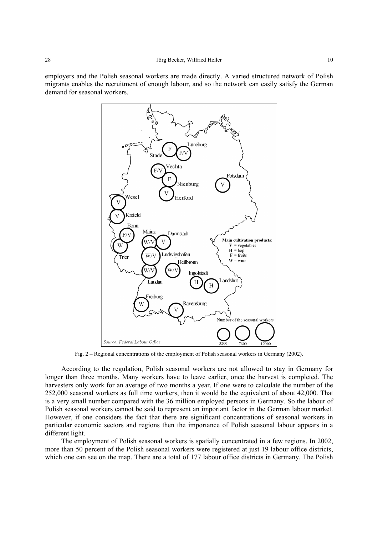employers and the Polish seasonal workers are made directly. A varied structured network of Polish migrants enables the recruitment of enough labour, and so the network can easily satisfy the German demand for seasonal workers.



Fig. 2 – Regional concentrations of the employment of Polish seasonal workers in Germany (2002).

According to the regulation, Polish seasonal workers are not allowed to stay in Germany for longer than three months. Many workers have to leave earlier, once the harvest is completed. The harvesters only work for an average of two months a year. If one were to calculate the number of the 252,000 seasonal workers as full time workers, then it would be the equivalent of about 42,000. That is a very small number compared with the 36 million employed persons in Germany. So the labour of Polish seasonal workers cannot be said to represent an important factor in the German labour market. However, if one considers the fact that there are significant concentrations of seasonal workers in particular economic sectors and regions then the importance of Polish seasonal labour appears in a different light.

The employment of Polish seasonal workers is spatially concentrated in a few regions. In 2002, more than 50 percent of the Polish seasonal workers were registered at just 19 labour office districts, which one can see on the map. There are a total of 177 labour office districts in Germany. The Polish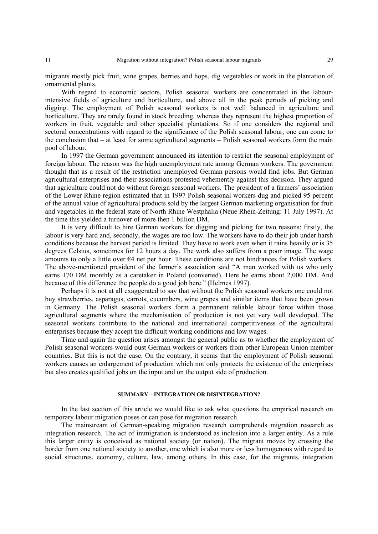migrants mostly pick fruit, wine grapes, berries and hops, dig vegetables or work in the plantation of ornamental plants.

With regard to economic sectors, Polish seasonal workers are concentrated in the labourintensive fields of agriculture and horticulture, and above all in the peak periods of picking and digging. The employment of Polish seasonal workers is not well balanced in agriculture and horticulture. They are rarely found in stock breeding, whereas they represent the highest proportion of workers in fruit, vegetable and other specialist plantations. So if one considers the regional and sectoral concentrations with regard to the significance of the Polish seasonal labour, one can come to the conclusion that – at least for some agricultural segments – Polish seasonal workers form the main pool of labour.

In 1997 the German government announced its intention to restrict the seasonal employment of foreign labour. The reason was the high unemployment rate among German workers. The government thought that as a result of the restriction unemployed German persons would find jobs. But German agricultural enterprises and their associations protested vehemently against this decision. They argued that agriculture could not do without foreign seasonal workers. The president of a farmers' association of the Lower Rhine region estimated that in 1997 Polish seasonal workers dug and picked 95 percent of the annual value of agricultural products sold by the largest German marketing organisation for fruit and vegetables in the federal state of North Rhine Westphalia (Neue Rhein-Zeitung: 11 July 1997). At the time this yielded a turnover of more then 1 billion DM.

It is very difficult to hire German workers for digging and picking for two reasons: firstly, the labour is very hard and, secondly, the wages are too low. The workers have to do their job under harsh conditions because the harvest period is limited. They have to work even when it rains heavily or is 35 degrees Celsius, sometimes for 12 hours a day. The work also suffers from a poor image. The wage amounts to only a little over €4 net per hour. These conditions are not hindrances for Polish workers. The above-mentioned president of the farmer's association said "A man worked with us who only earns 170 DM monthly as a caretaker in Poland (converted). Here he earns about 2,000 DM. And because of this difference the people do a good job here." (Helmes 1997).

Perhaps it is not at all exaggerated to say that without the Polish seasonal workers one could not buy strawberries, asparagus, carrots, cucumbers, wine grapes and similar items that have been grown in Germany. The Polish seasonal workers form a permanent reliable labour force within those agricultural segments where the mechanisation of production is not yet very well developed. The seasonal workers contribute to the national and international competitiveness of the agricultural enterprises because they accept the difficult working conditions and low wages.

Time and again the question arises amongst the general public as to whether the employment of Polish seasonal workers would oust German workers or workers from other European Union member countries. But this is not the case. On the contrary, it seems that the employment of Polish seasonal workers causes an enlargement of production which not only protects the existence of the enterprises but also creates qualified jobs on the input and on the output side of production.

## **SUMMARY – INTEGRATION OR DISINTEGRATION?**

In the last section of this article we would like to ask what questions the empirical research on temporary labour migration poses or can pose for migration research.

The mainstream of German-speaking migration research comprehends migration research as integration research. The act of immigration is understood as inclusion into a larger entity. As a rule this larger entity is conceived as national society (or nation). The migrant moves by crossing the border from one national society to another, one which is also more or less homogenous with regard to social structures, economy, culture, law, among others. In this case, for the migrants, integration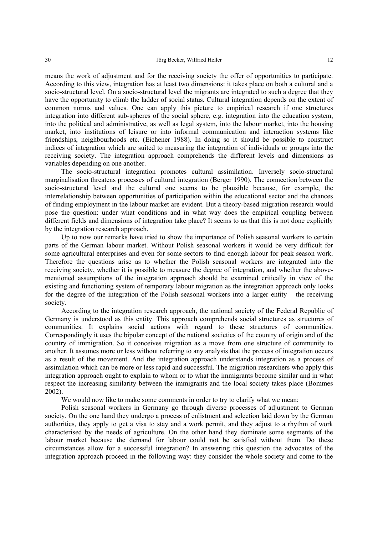means the work of adjustment and for the receiving society the offer of opportunities to participate. According to this view, integration has at least two dimensions: it takes place on both a cultural and a socio-structural level. On a socio-structural level the migrants are integrated to such a degree that they have the opportunity to climb the ladder of social status. Cultural integration depends on the extent of common norms and values. One can apply this picture to empirical research if one structures integration into different sub-spheres of the social sphere, e.g. integration into the education system, into the political and administrative, as well as legal system, into the labour market, into the housing market, into institutions of leisure or into informal communication and interaction systems like friendships, neighbourhoods etc. (Eichener 1988). In doing so it should be possible to construct indices of integration which are suited to measuring the integration of individuals or groups into the receiving society. The integration approach comprehends the different levels and dimensions as variables depending on one another.

The socio-structural integration promotes cultural assimilation. Inversely socio-structural marginalisation threatens processes of cultural integration (Berger 1990). The connection between the socio-structural level and the cultural one seems to be plausible because, for example, the interrelationship between opportunities of participation within the educational sector and the chances of finding employment in the labour market are evident. But a theory-based migration research would pose the question: under what conditions and in what way does the empirical coupling between different fields and dimensions of integration take place? It seems to us that this is not done explicitly by the integration research approach.

Up to now our remarks have tried to show the importance of Polish seasonal workers to certain parts of the German labour market. Without Polish seasonal workers it would be very difficult for some agricultural enterprises and even for some sectors to find enough labour for peak season work. Therefore the questions arise as to whether the Polish seasonal workers are integrated into the receiving society, whether it is possible to measure the degree of integration, and whether the abovementioned assumptions of the integration approach should be examined critically in view of the existing and functioning system of temporary labour migration as the integration approach only looks for the degree of the integration of the Polish seasonal workers into a larger entity – the receiving society.

According to the integration research approach, the national society of the Federal Republic of Germany is understood as this entity. This approach comprehends social structures as structures of communities. It explains social actions with regard to these structures of communities. Correspondingly it uses the bipolar concept of the national societies of the country of origin and of the country of immigration. So it conceives migration as a move from one structure of community to another. It assumes more or less without referring to any analysis that the process of integration occurs as a result of the movement. And the integration approach understands integration as a process of assimilation which can be more or less rapid and successful. The migration researchers who apply this integration approach ought to explain to whom or to what the immigrants become similar and in what respect the increasing similarity between the immigrants and the local society takes place (Bommes 2002).

We would now like to make some comments in order to try to clarify what we mean:

Polish seasonal workers in Germany go through diverse processes of adjustment to German society. On the one hand they undergo a process of enlistment and selection laid down by the German authorities, they apply to get a visa to stay and a work permit, and they adjust to a rhythm of work characterised by the needs of agriculture. On the other hand they dominate some segments of the labour market because the demand for labour could not be satisfied without them. Do these circumstances allow for a successful integration? In answering this question the advocates of the integration approach proceed in the following way: they consider the whole society and come to the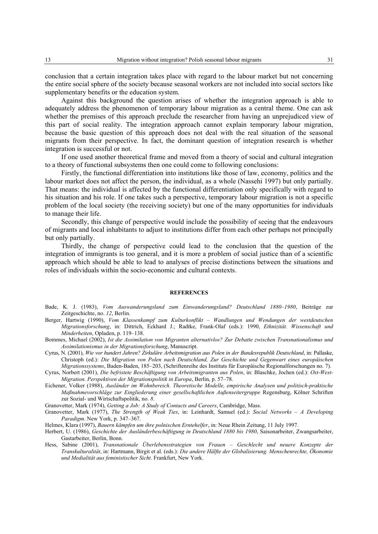conclusion that a certain integration takes place with regard to the labour market but not concerning the entire social sphere of the society because seasonal workers are not included into social sectors like supplementary benefits or the education system.

Against this background the question arises of whether the integration approach is able to adequately address the phenomenon of temporary labour migration as a central theme. One can ask whether the premises of this approach preclude the researcher from having an unprejudiced view of this part of social reality. The integration approach cannot explain temporary labour migration, because the basic question of this approach does not deal with the real situation of the seasonal migrants from their perspective. In fact, the dominant question of integration research is whether integration is successful or not.

If one used another theoretical frame and moved from a theory of social and cultural integration to a theory of functional subsystems then one could come to following conclusions:

Firstly, the functional differentiation into institutions like those of law, economy, politics and the labour market does not affect the person, the individual, as a whole (Nassehi 1997) but only partially. That means: the individual is affected by the functional differentiation only specifically with regard to his situation and his role. If one takes such a perspective, temporary labour migration is not a specific problem of the local society (the receiving society) but one of the many opportunities for individuals to manage their life.

Secondly, this change of perspective would include the possibility of seeing that the endeavours of migrants and local inhabitants to adjust to institutions differ from each other perhaps not principally but only partially.

Thirdly, the change of perspective could lead to the conclusion that the question of the integration of immigrants is too general, and it is more a problem of social justice than of a scientific approach which should be able to lead to analyses of precise distinctions between the situations and roles of individuals within the socio-economic and cultural contexts.

#### **REFERENCES**

- Bade, K. J. (1983), *Vom Auswanderungsland zum Einwanderungsland? Deutschland 1880–1980*, Beiträge zur Zeitgeschichte, no. *12*, Berlin.
- Berger, Hartwig (1990), *Vom Klassenkampf zum Kulturkonflikt Wandlungen und Wendungen der westdeutschen Migrationsforschung*, in: Dittrich, Eckhard J.; Radtke, Frank-Olaf (eds.): 1990, *Ethnizität. Wissenschaft und Minderheiten*, Opladen, p. 119–138.
- Bommes, Michael (2002), *Ist die Assimilation von Migranten alternativlos? Zur Debatte zwischen Transnationalismus und Assimilationismus in der Migrationsforschung*, Manuscript.
- Cyrus, N. (2001), *Wie vor hundert Jahren? Zirkuläre Arbeitsmigration aus Polen in der Bundesrepublik Deutschland*, in: Pallaske, Christoph (ed.): *Die Migration von Polen nach Deutschland, Zur Geschichte und Gegenwart eines europäischen Migrationssystems*, Baden-Baden, 185–203, (Schriftenreihe des Instituts für Europäische Regionalforschungen no. 7).
- Cyrus, Norbert (2001), *Die befristete Beschäftigung von Arbeitsmigranten aus Polen*, in: Blaschke, Jochen (ed.): *Ost-West-Migration. Perspektiven der Migrationspolitik in Europa*, Berlin, p. 57–78.
- Eichener, Volker (1988), *Ausländer im Wohnbereich. Theoretische Modelle, empirische Analysen und politisch-praktische Maßnahmevorschläge zur Eingliederung einer gesellschaftlichen Außenseitergruppe* Regensburg, Kölner Schriften zur Sozial- und Wirtschaftspolitik, no. *8*.
- Granovetter, Mark (1974), *Getting a Job: A Study of Contacts and Careers*, Cambridge, Mass.
- Granovetter, Mark (1977), *The Strength of Weak Ties*, in: Leinhardt, Samuel (ed.): *Social Networks A Developing Paradigm*. New York, p. 347–367.
- Helmes, Klara (1997), *Bauern kämpfen um ihre polnischen Erntehelfer*, in: Neue Rhein Zeitung, 11 July 1997.
- Herbert, U. (1986), *Geschichte der Ausländerbeschäftigung in Deutschland 1880 bis 1980*, Saisonarbeiter, Zwangsarbeiter, Gastarbeiter, Berlin, Bonn.
- Hess, Sabine (2001), *Transnationale Überlebensstrategien von Frauen Geschlecht und neuere Konzepte der Transkulturalität*, in: Hartmann, Birgit et al. (eds.): *Die andere Hälfte der Globalisierung. Menschenrechte, Ökonomie und Medialität aus feministischer Sicht*. Frankfurt, New York.